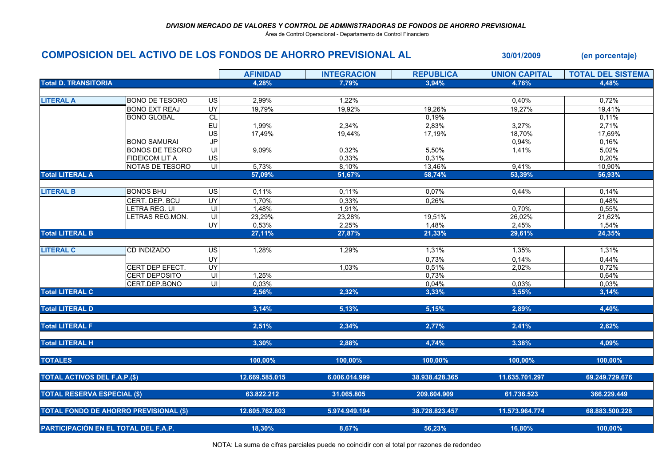Área de Control Operacional - Departamento de Control Financiero

## COMPOSICION DEL ACTIVO DE LOS FONDOS DE AHORRO PREVISIONAL AL 30/01/2009 (en porcentaje)

|                                               |                        |                          | <b>AFINIDAD</b> | <b>INTEGRACION</b> | <b>REPUBLICA</b> | <b>UNION CAPITAL</b> | <b>TOTAL DEL SISTEMA</b> |
|-----------------------------------------------|------------------------|--------------------------|-----------------|--------------------|------------------|----------------------|--------------------------|
| <b>Total D. TRANSITORIA</b>                   |                        |                          | 4,28%           | 7,79%              | 3,94%            | 4,76%                | 4,48%                    |
|                                               |                        |                          |                 |                    |                  |                      |                          |
| <b>LITERAL A</b>                              | <b>BONO DE TESORO</b>  | US                       | 2,99%           | 1,22%              |                  | 0,40%                | 0,72%                    |
|                                               | <b>BONO EXT REAJ</b>   | <b>UY</b>                | 19,79%          | 19,92%             | 19,26%           | 19,27%               | 19,41%                   |
|                                               | <b>BONO GLOBAL</b>     | CL                       |                 |                    | 0,19%            |                      | 0,11%                    |
|                                               |                        | EU                       | 1,99%           | 2,34%              | 2,83%            | 3,27%                | 2,71%                    |
|                                               |                        | US                       | 17,49%          | 19,44%             | 17,19%           | 18,70%               | 17,69%                   |
|                                               | <b>BONO SAMURAI</b>    | $\overline{J}$           |                 |                    |                  | 0,94%                | 0,16%                    |
|                                               | <b>BONOS DE TESORO</b> | $\subseteq$              | 9,09%           | 0,32%              | 5,50%            | 1,41%                | 5,02%                    |
|                                               | <b>FIDEICOM LIT A</b>  | $\overline{\mathsf{ds}}$ |                 | 0,33%              | 0,31%            |                      | 0,20%                    |
|                                               | NOTAS DE TESORO        | $\overline{u}$           | 5,73%           | 8,10%              | 13,46%           | 9,41%                | 10,90%                   |
| <b>Total LITERAL A</b>                        |                        |                          | 57,09%          | 51,67%             | 58,74%           | 53,39%               | 56,93%                   |
|                                               |                        |                          |                 |                    |                  |                      |                          |
| <b>LITERAL B</b>                              | <b>BONOS BHU</b>       | $\overline{US}$          | 0,11%           | 0,11%              | 0,07%            | 0,44%                | 0,14%                    |
|                                               | CERT. DEP. BCU         | UY                       | 1,70%           | 0,33%              | 0,26%            |                      | 0,48%                    |
|                                               | LETRA REG. UI          | UI                       | 1,48%           | 1,91%              |                  | 0,70%                | 0,55%                    |
|                                               | LETRAS REG.MON.        |                          | 23,29%          | 23,28%             | 19,51%           | 26,02%               | 21,62%                   |
|                                               |                        | UY                       | 0,53%           | 2,25%              | 1,48%            | 2,45%                | 1,54%                    |
| <b>Total LITERAL B</b>                        |                        |                          | 27,11%          | 27,87%             | 21,33%           | 29,61%               | 24,35%                   |
|                                               |                        |                          |                 |                    |                  |                      |                          |
| <b>LITERAL C</b>                              | <b>CD INDIZADO</b>     | US                       | 1,28%           | 1,29%              | 1,31%            | 1,35%                | 1,31%                    |
|                                               |                        | UY                       |                 |                    | 0,73%            | 0,14%                | 0,44%                    |
|                                               | CERT DEP EFECT.        | <b>UY</b>                |                 | 1,03%              | 0,51%            | 2,02%                | 0,72%                    |
|                                               | <b>CERT DEPOSITO</b>   | $\overline{u}$           | 1,25%           |                    | 0,73%            |                      | 0,64%                    |
|                                               | CERT.DEP.BONO          | U <sub>l</sub>           | 0,03%           |                    | 0,04%            | 0,03%                | 0,03%                    |
| <b>Total LITERAL C</b>                        |                        |                          | 2,56%           | 2,32%              | 3,33%            | 3,55%                | 3,14%                    |
| <b>Total LITERAL D</b>                        |                        |                          | 3,14%           | 5,13%              | 5,15%            | 2,89%                | 4,40%                    |
|                                               |                        |                          |                 |                    |                  |                      |                          |
| <b>Total LITERAL F</b>                        |                        |                          | 2,51%           | 2,34%              | 2,77%            | 2,41%                | 2,62%                    |
| <b>Total LITERAL H</b>                        |                        |                          | 3,30%           | 2,88%              | 4,74%            | 3,38%                | 4,09%                    |
| <b>TOTALES</b>                                |                        |                          | 100,00%         | 100,00%            | 100,00%          | 100,00%              | 100,00%                  |
| <b>TOTAL ACTIVOS DEL F.A.P.(\$)</b>           |                        |                          | 12.669.585.015  | 6.006.014.999      | 38.938.428.365   | 11.635.701.297       | 69.249.729.676           |
|                                               |                        |                          |                 |                    |                  |                      |                          |
| <b>TOTAL RESERVA ESPECIAL (\$)</b>            |                        |                          | 63.822.212      | 31.065.805         | 209.604.909      | 61.736.523           | 366.229.449              |
| <b>TOTAL FONDO DE AHORRO PREVISIONAL (\$)</b> |                        |                          | 12.605.762.803  | 5.974.949.194      | 38.728.823.457   | 11.573.964.774       | 68.883.500.228           |
| PARTICIPACIÓN EN EL TOTAL DEL F.A.P.          |                        |                          | 18,30%          | 8,67%              | 56,23%           |                      |                          |
|                                               |                        |                          |                 |                    |                  | 16,80%               | 100,00%                  |

NOTA: La suma de cifras parciales puede no coincidir con el total por razones de redondeo